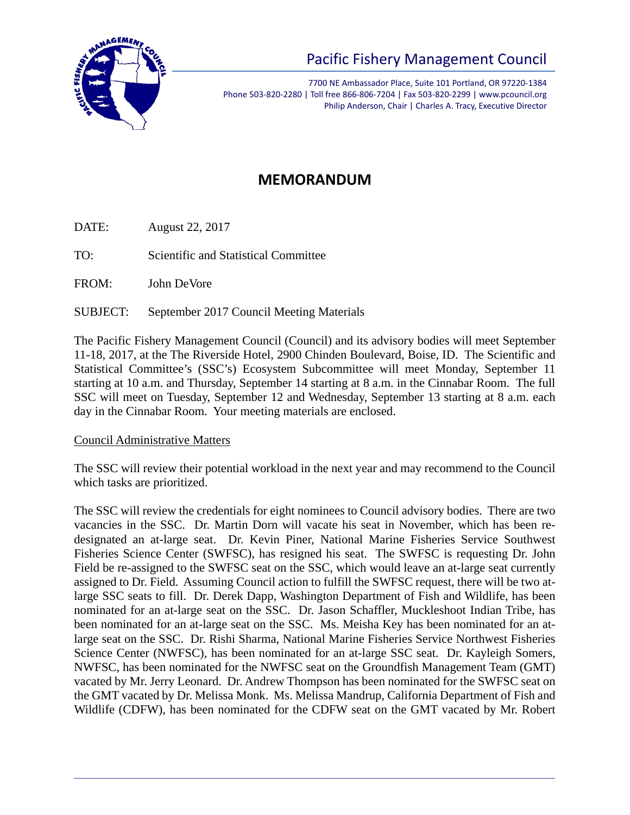

# Pacific Fishery Management Council

7700 NE Ambassador Place, Suite 101 Portland, OR 97220-1384 Phone 503-820-2280 | Toll free 866-806-7204 | Fax 503-820-2299 | www.pcouncil.org Philip Anderson, Chair | Charles A. Tracy, Executive Director

# **MEMORANDUM**

DATE: August 22, 2017

TO: Scientific and Statistical Committee

FROM: John DeVore

SUBJECT: September 2017 Council Meeting Materials

The Pacific Fishery Management Council (Council) and its advisory bodies will meet September 11-18, 2017, at the The Riverside Hotel, 2900 Chinden Boulevard, Boise, ID. The Scientific and Statistical Committee's (SSC's) Ecosystem Subcommittee will meet Monday, September 11 starting at 10 a.m. and Thursday, September 14 starting at 8 a.m. in the Cinnabar Room. The full SSC will meet on Tuesday, September 12 and Wednesday, September 13 starting at 8 a.m. each day in the Cinnabar Room. Your meeting materials are enclosed.

### Council Administrative Matters

The SSC will review their potential workload in the next year and may recommend to the Council which tasks are prioritized.

The SSC will review the credentials for eight nominees to Council advisory bodies. There are two vacancies in the SSC. Dr. Martin Dorn will vacate his seat in November, which has been redesignated an at-large seat. Dr. Kevin Piner, National Marine Fisheries Service Southwest Fisheries Science Center (SWFSC), has resigned his seat. The SWFSC is requesting Dr. John Field be re-assigned to the SWFSC seat on the SSC, which would leave an at-large seat currently assigned to Dr. Field. Assuming Council action to fulfill the SWFSC request, there will be two atlarge SSC seats to fill. Dr. Derek Dapp, Washington Department of Fish and Wildlife, has been nominated for an at-large seat on the SSC. Dr. Jason Schaffler, Muckleshoot Indian Tribe, has been nominated for an at-large seat on the SSC. Ms. Meisha Key has been nominated for an atlarge seat on the SSC. Dr. Rishi Sharma, National Marine Fisheries Service Northwest Fisheries Science Center (NWFSC), has been nominated for an at-large SSC seat. Dr. Kayleigh Somers, NWFSC, has been nominated for the NWFSC seat on the Groundfish Management Team (GMT) vacated by Mr. Jerry Leonard. Dr. Andrew Thompson has been nominated for the SWFSC seat on the GMT vacated by Dr. Melissa Monk. Ms. Melissa Mandrup, California Department of Fish and Wildlife (CDFW), has been nominated for the CDFW seat on the GMT vacated by Mr. Robert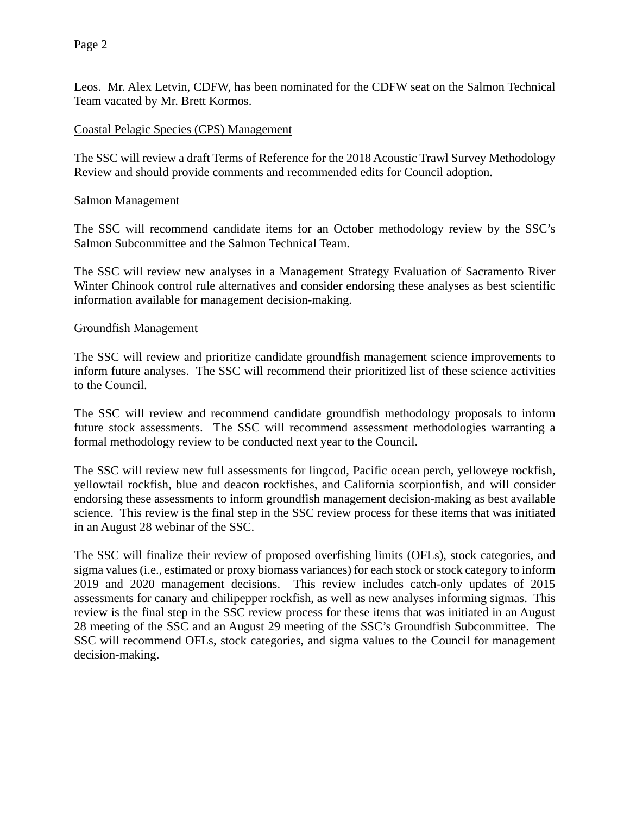Leos. Mr. Alex Letvin, CDFW, has been nominated for the CDFW seat on the Salmon Technical Team vacated by Mr. Brett Kormos.

#### Coastal Pelagic Species (CPS) Management

The SSC will review a draft Terms of Reference for the 2018 Acoustic Trawl Survey Methodology Review and should provide comments and recommended edits for Council adoption.

#### Salmon Management

The SSC will recommend candidate items for an October methodology review by the SSC's Salmon Subcommittee and the Salmon Technical Team.

The SSC will review new analyses in a Management Strategy Evaluation of Sacramento River Winter Chinook control rule alternatives and consider endorsing these analyses as best scientific information available for management decision-making.

#### Groundfish Management

The SSC will review and prioritize candidate groundfish management science improvements to inform future analyses. The SSC will recommend their prioritized list of these science activities to the Council.

The SSC will review and recommend candidate groundfish methodology proposals to inform future stock assessments. The SSC will recommend assessment methodologies warranting a formal methodology review to be conducted next year to the Council.

The SSC will review new full assessments for lingcod, Pacific ocean perch, yelloweye rockfish, yellowtail rockfish, blue and deacon rockfishes, and California scorpionfish, and will consider endorsing these assessments to inform groundfish management decision-making as best available science. This review is the final step in the SSC review process for these items that was initiated in an August 28 webinar of the SSC.

The SSC will finalize their review of proposed overfishing limits (OFLs), stock categories, and sigma values (i.e., estimated or proxy biomass variances) for each stock or stock category to inform 2019 and 2020 management decisions. This review includes catch-only updates of 2015 assessments for canary and chilipepper rockfish, as well as new analyses informing sigmas. This review is the final step in the SSC review process for these items that was initiated in an August 28 meeting of the SSC and an August 29 meeting of the SSC's Groundfish Subcommittee. The SSC will recommend OFLs, stock categories, and sigma values to the Council for management decision-making.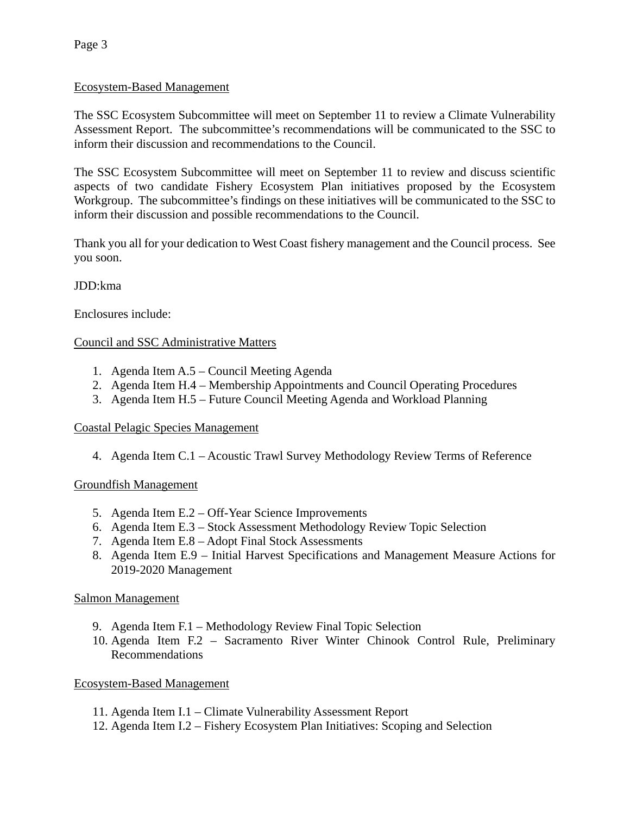#### Ecosystem-Based Management

The SSC Ecosystem Subcommittee will meet on September 11 to review a Climate Vulnerability Assessment Report. The subcommittee's recommendations will be communicated to the SSC to inform their discussion and recommendations to the Council.

The SSC Ecosystem Subcommittee will meet on September 11 to review and discuss scientific aspects of two candidate Fishery Ecosystem Plan initiatives proposed by the Ecosystem Workgroup. The subcommittee's findings on these initiatives will be communicated to the SSC to inform their discussion and possible recommendations to the Council.

Thank you all for your dedication to West Coast fishery management and the Council process. See you soon.

#### JDD:kma

Enclosures include:

#### Council and SSC Administrative Matters

- 1. Agenda Item A.5 Council Meeting Agenda
- 2. Agenda Item H.4 Membership Appointments and Council Operating Procedures
- 3. Agenda Item H.5 Future Council Meeting Agenda and Workload Planning

#### Coastal Pelagic Species Management

4. Agenda Item C.1 – Acoustic Trawl Survey Methodology Review Terms of Reference

#### Groundfish Management

- 5. Agenda Item E.2 Off-Year Science Improvements
- 6. Agenda Item E.3 Stock Assessment Methodology Review Topic Selection
- 7. Agenda Item E.8 Adopt Final Stock Assessments
- 8. Agenda Item E.9 Initial Harvest Specifications and Management Measure Actions for 2019-2020 Management

#### Salmon Management

- 9. Agenda Item F.1 Methodology Review Final Topic Selection
- 10. Agenda Item F.2 Sacramento River Winter Chinook Control Rule, Preliminary Recommendations

#### Ecosystem-Based Management

- 11. Agenda Item I.1 Climate Vulnerability Assessment Report
- 12. Agenda Item I.2 Fishery Ecosystem Plan Initiatives: Scoping and Selection